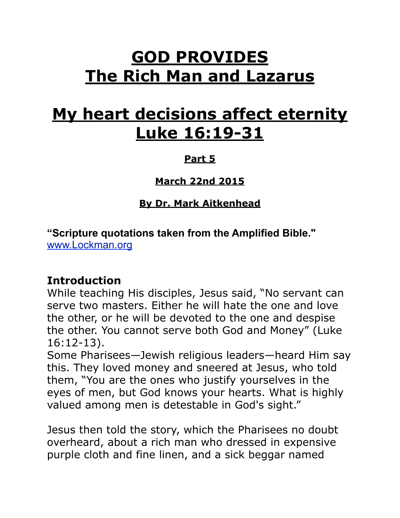# **GOD PROVIDES The Rich Man and Lazarus**

# **My heart decisions affect eternity Luke 16:19-31**

#### **Part 5**

**March 22nd 2015**

**By Dr. Mark Aitkenhead**

**"Scripture quotations taken from the Amplified Bible."** 

[www.Lockman.org](http://www.lockman.org/tlf/pqform.php)

#### **Introduction**

While teaching His disciples, Jesus said, "No servant can serve two masters. Either he will hate the one and love the other, or he will be devoted to the one and despise the other. You cannot serve both God and Money" (Luke 16:12-13).

Some Pharisees—Jewish religious leaders—heard Him say this. They loved money and sneered at Jesus, who told them, "You are the ones who justify yourselves in the eyes of men, but God knows your hearts. What is highly valued among men is detestable in God's sight."

Jesus then told the story, which the Pharisees no doubt overheard, about a rich man who dressed in expensive purple cloth and fine linen, and a sick beggar named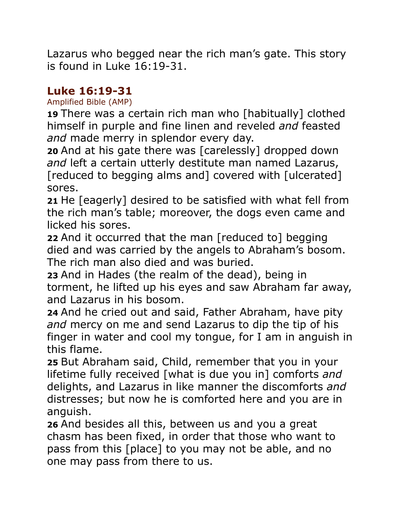Lazarus who begged near the rich man's gate. This story is found in Luke 16:19-31.

## **Luke 16:19-31**

Amplified Bible (AMP)

**19** There was a certain rich man who [habitually] clothed himself in purple and fine linen and reveled *and* feasted *and* made merry in splendor every day.

**20** And at his gate there was [carelessly] dropped down *and* left a certain utterly destitute man named Lazarus, [reduced to begging alms and] covered with [ulcerated] sores.

**21** He [eagerly] desired to be satisfied with what fell from the rich man's table; moreover, the dogs even came and licked his sores.

**22** And it occurred that the man [reduced to] begging died and was carried by the angels to Abraham's bosom. The rich man also died and was buried.

**23** And in Hades (the realm of the dead), being in torment, he lifted up his eyes and saw Abraham far away, and Lazarus in his bosom.

**24** And he cried out and said, Father Abraham, have pity *and* mercy on me and send Lazarus to dip the tip of his finger in water and cool my tongue, for I am in anguish in this flame.

**25** But Abraham said, Child, remember that you in your lifetime fully received [what is due you in] comforts *and* delights, and Lazarus in like manner the discomforts *and* distresses; but now he is comforted here and you are in anguish.

**26** And besides all this, between us and you a great chasm has been fixed, in order that those who want to pass from this [place] to you may not be able, and no one may pass from there to us.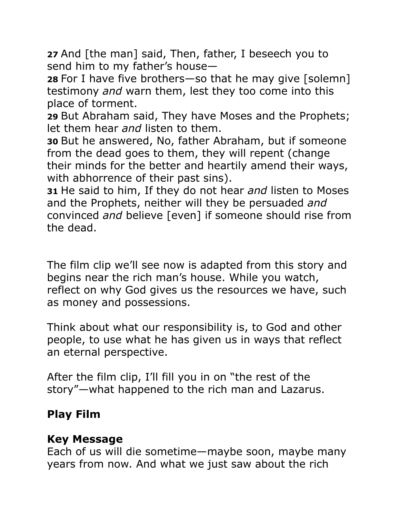**27** And [the man] said, Then, father, I beseech you to send him to my father's house—

**28** For I have five brothers—so that he may give [solemn] testimony *and* warn them, lest they too come into this place of torment.

**29** But Abraham said, They have Moses and the Prophets; let them hear *and* listen to them.

**30** But he answered, No, father Abraham, but if someone from the dead goes to them, they will repent (change their minds for the better and heartily amend their ways, with abhorrence of their past sins).

**31** He said to him, If they do not hear *and* listen to Moses and the Prophets, neither will they be persuaded *and* convinced *and* believe [even] if someone should rise from the dead.

The film clip we'll see now is adapted from this story and begins near the rich man's house. While you watch, reflect on why God gives us the resources we have, such as money and possessions.

Think about what our responsibility is, to God and other people, to use what he has given us in ways that reflect an eternal perspective.

After the film clip, I'll fill you in on "the rest of the story"—what happened to the rich man and Lazarus.

## **Play Film**

## **Key Message**

Each of us will die sometime—maybe soon, maybe many years from now. And what we just saw about the rich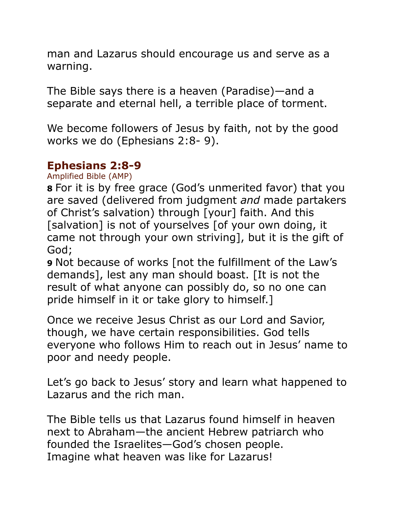man and Lazarus should encourage us and serve as a warning.

The Bible says there is a heaven (Paradise)—and a separate and eternal hell, a terrible place of torment.

We become followers of Jesus by faith, not by the good works we do (Ephesians 2:8- 9).

#### **Ephesians 2:8-9**

Amplified Bible (AMP)

**8** For it is by free grace (God's unmerited favor) that you are saved (delivered from judgment *and* made partakers of Christ's salvation) through [your] faith. And this [salvation] is not of yourselves [of your own doing, it came not through your own striving], but it is the gift of God;

**9** Not because of works [not the fulfillment of the Law's demands], lest any man should boast. [It is not the result of what anyone can possibly do, so no one can pride himself in it or take glory to himself.]

Once we receive Jesus Christ as our Lord and Savior, though, we have certain responsibilities. God tells everyone who follows Him to reach out in Jesus' name to poor and needy people.

Let's go back to Jesus' story and learn what happened to Lazarus and the rich man.

The Bible tells us that Lazarus found himself in heaven next to Abraham—the ancient Hebrew patriarch who founded the Israelites—God's chosen people. Imagine what heaven was like for Lazarus!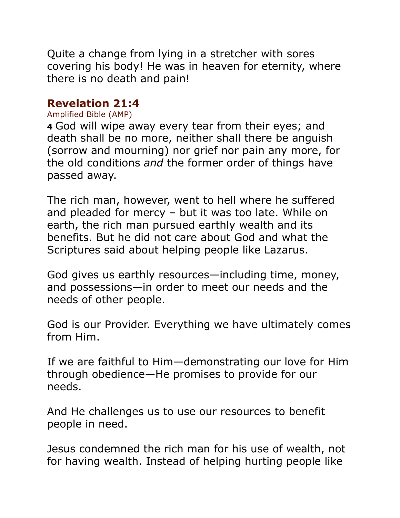Quite a change from lying in a stretcher with sores covering his body! He was in heaven for eternity, where there is no death and pain!

#### **Revelation 21:4**

#### Amplified Bible (AMP)

**4** God will wipe away every tear from their eyes; and death shall be no more, neither shall there be anguish (sorrow and mourning) nor grief nor pain any more, for the old conditions *and* the former order of things have passed away.

The rich man, however, went to hell where he suffered and pleaded for mercy – but it was too late. While on earth, the rich man pursued earthly wealth and its benefits. But he did not care about God and what the Scriptures said about helping people like Lazarus.

God gives us earthly resources—including time, money, and possessions—in order to meet our needs and the needs of other people.

God is our Provider. Everything we have ultimately comes from Him.

If we are faithful to Him—demonstrating our love for Him through obedience—He promises to provide for our needs.

And He challenges us to use our resources to benefit people in need.

Jesus condemned the rich man for his use of wealth, not for having wealth. Instead of helping hurting people like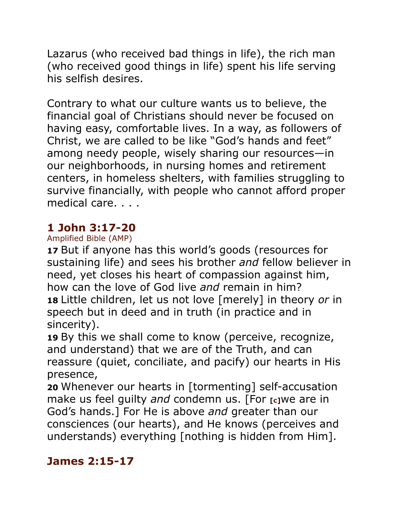Lazarus (who received bad things in life), the rich man (who received good things in life) spent his life serving his selfish desires.

Contrary to what our culture wants us to believe, the financial goal of Christians should never be focused on having easy, comfortable lives. In a way, as followers of Christ, we are called to be like "God's hands and feet" among needy people, wisely sharing our resources—in our neighborhoods, in nursing homes and retirement centers, in homeless shelters, with families struggling to survive financially, with people who cannot afford proper medical care. . . .

## **1 John 3:17-20**

#### Amplified Bible (AMP)

**17** But if anyone has this world's goods (resources for sustaining life) and sees his brother *and* fellow believer in need, yet closes his heart of compassion against him, how can the love of God live *and* remain in him? **18** Little children, let us not love [merely] in theory *or* in speech but in deed and in truth (in practice and in sincerity).

**19** By this we shall come to know (perceive, recognize, and understand) that we are of the Truth, and can reassure (quiet, conciliate, and pacify) our hearts in His presence,

**20** Whenever our hearts in [tormenting] self-accusation make us feel guilty *and* condemn us. [For **[c]**we are in God's hands.] For He is above *and* greater than our consciences (our hearts), and He knows (perceives and understands) everything [nothing is hidden from Him].

#### **James 2:15-17**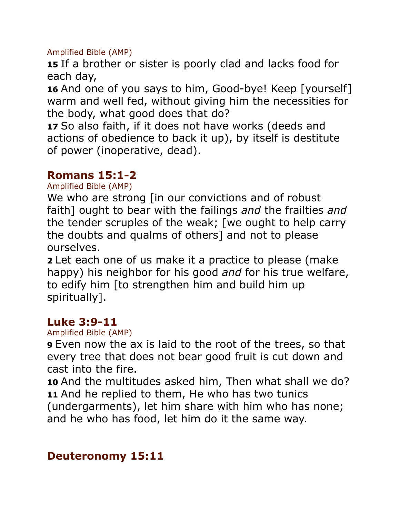Amplified Bible (AMP)

**15** If a brother or sister is poorly clad and lacks food for each day,

**16** And one of you says to him, Good-bye! Keep [yourself] warm and well fed, without giving him the necessities for the body, what good does that do?

**17** So also faith, if it does not have works (deeds and actions of obedience to back it up), by itself is destitute of power (inoperative, dead).

## **Romans 15:1-2**

Amplified Bible (AMP)

We who are strong [in our convictions and of robust] faith] ought to bear with the failings *and* the frailties *and* the tender scruples of the weak; [we ought to help carry the doubts and qualms of others] and not to please ourselves.

**2** Let each one of us make it a practice to please (make happy) his neighbor for his good *and* for his true welfare, to edify him [to strengthen him and build him up spiritually].

#### **Luke 3:9-11**

Amplified Bible (AMP)

**9** Even now the ax is laid to the root of the trees, so that every tree that does not bear good fruit is cut down and cast into the fire.

**10** And the multitudes asked him, Then what shall we do? **11** And he replied to them, He who has two tunics (undergarments), let him share with him who has none; and he who has food, let him do it the same way.

#### **Deuteronomy 15:11**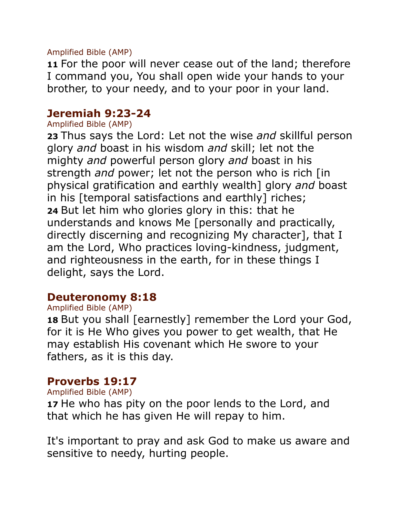Amplified Bible (AMP)

**11** For the poor will never cease out of the land; therefore I command you, You shall open wide your hands to your brother, to your needy, and to your poor in your land.

#### **Jeremiah 9:23-24**

#### Amplified Bible (AMP)

**23** Thus says the Lord: Let not the wise *and* skillful person glory *and* boast in his wisdom *and* skill; let not the mighty *and* powerful person glory *and* boast in his strength *and* power; let not the person who is rich [in physical gratification and earthly wealth] glory *and* boast in his [temporal satisfactions and earthly] riches; **24** But let him who glories glory in this: that he understands and knows Me [personally and practically, directly discerning and recognizing My character], that I am the Lord, Who practices loving-kindness, judgment, and righteousness in the earth, for in these things I delight, says the Lord.

#### **Deuteronomy 8:18**

#### Amplified Bible (AMP)

**18** But you shall [earnestly] remember the Lord your God, for it is He Who gives you power to get wealth, that He may establish His covenant which He swore to your fathers, as it is this day.

#### **Proverbs 19:17**

#### Amplified Bible (AMP)

**17** He who has pity on the poor lends to the Lord, and that which he has given He will repay to him.

It's important to pray and ask God to make us aware and sensitive to needy, hurting people.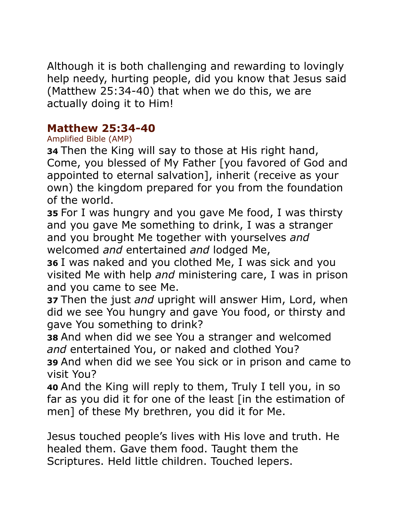Although it is both challenging and rewarding to lovingly help needy, hurting people, did you know that Jesus said (Matthew 25:34-40) that when we do this, we are actually doing it to Him!

#### **Matthew 25:34-40**

#### Amplified Bible (AMP)

**34** Then the King will say to those at His right hand, Come, you blessed of My Father [you favored of God and appointed to eternal salvation], inherit (receive as your own) the kingdom prepared for you from the foundation of the world.

**35** For I was hungry and you gave Me food, I was thirsty and you gave Me something to drink, I was a stranger and you brought Me together with yourselves *and* welcomed *and* entertained *and* lodged Me,

**36** I was naked and you clothed Me, I was sick and you visited Me with help *and* ministering care, I was in prison and you came to see Me.

**37** Then the just *and* upright will answer Him, Lord, when did we see You hungry and gave You food, or thirsty and gave You something to drink?

**38** And when did we see You a stranger and welcomed *and* entertained You, or naked and clothed You?

**39** And when did we see You sick or in prison and came to visit You?

**40** And the King will reply to them, Truly I tell you, in so far as you did it for one of the least [in the estimation of men] of these My brethren, you did it for Me.

Jesus touched people's lives with His love and truth. He healed them. Gave them food. Taught them the Scriptures. Held little children. Touched lepers.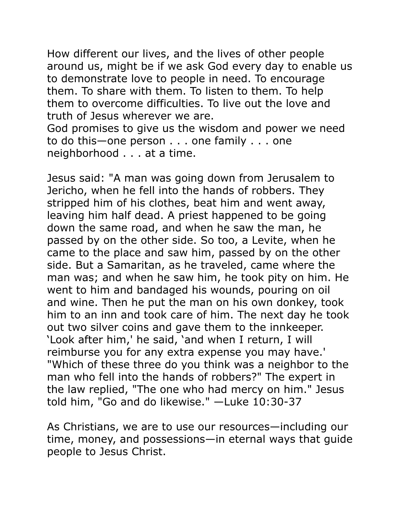How different our lives, and the lives of other people around us, might be if we ask God every day to enable us to demonstrate love to people in need. To encourage them. To share with them. To listen to them. To help them to overcome difficulties. To live out the love and truth of Jesus wherever we are.

God promises to give us the wisdom and power we need to do this—one person . . . one family . . . one neighborhood . . . at a time.

Jesus said: "A man was going down from Jerusalem to Jericho, when he fell into the hands of robbers. They stripped him of his clothes, beat him and went away, leaving him half dead. A priest happened to be going down the same road, and when he saw the man, he passed by on the other side. So too, a Levite, when he came to the place and saw him, passed by on the other side. But a Samaritan, as he traveled, came where the man was; and when he saw him, he took pity on him. He went to him and bandaged his wounds, pouring on oil and wine. Then he put the man on his own donkey, took him to an inn and took care of him. The next day he took out two silver coins and gave them to the innkeeper. 'Look after him,' he said, 'and when I return, I will reimburse you for any extra expense you may have.' "Which of these three do you think was a neighbor to the man who fell into the hands of robbers?" The expert in the law replied, "The one who had mercy on him." Jesus told him, "Go and do likewise." —Luke 10:30-37

As Christians, we are to use our resources—including our time, money, and possessions—in eternal ways that guide people to Jesus Christ.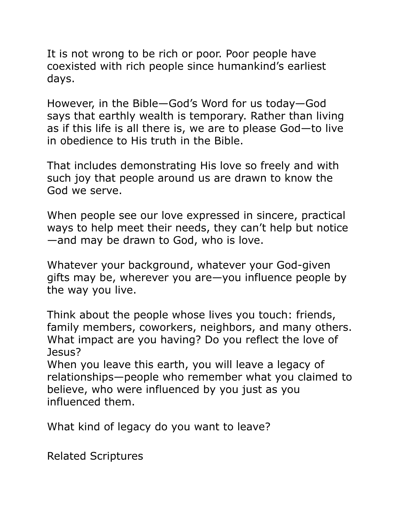It is not wrong to be rich or poor. Poor people have coexisted with rich people since humankind's earliest days.

However, in the Bible—God's Word for us today—God says that earthly wealth is temporary. Rather than living as if this life is all there is, we are to please God—to live in obedience to His truth in the Bible.

That includes demonstrating His love so freely and with such joy that people around us are drawn to know the God we serve.

When people see our love expressed in sincere, practical ways to help meet their needs, they can't help but notice —and may be drawn to God, who is love.

Whatever your background, whatever your God-given gifts may be, wherever you are—you influence people by the way you live.

Think about the people whose lives you touch: friends, family members, coworkers, neighbors, and many others. What impact are you having? Do you reflect the love of Jesus?

When you leave this earth, you will leave a legacy of relationships—people who remember what you claimed to believe, who were influenced by you just as you influenced them.

What kind of legacy do you want to leave?

Related Scriptures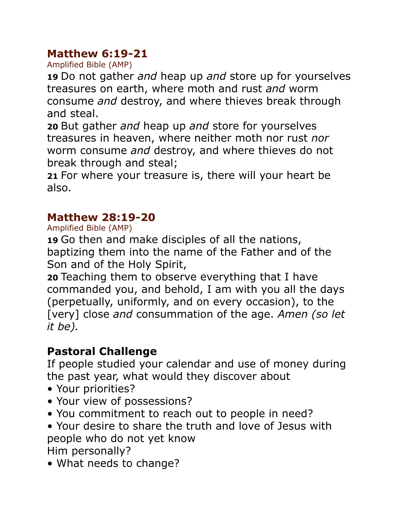## **Matthew 6:19-21**

Amplified Bible (AMP)

**19** Do not gather *and* heap up *and* store up for yourselves treasures on earth, where moth and rust *and* worm consume *and* destroy, and where thieves break through and steal.

**20** But gather *and* heap up *and* store for yourselves treasures in heaven, where neither moth nor rust *nor* worm consume *and* destroy, and where thieves do not break through and steal;

**21** For where your treasure is, there will your heart be also.

## **Matthew 28:19-20**

Amplified Bible (AMP)

**19** Go then and make disciples of all the nations, baptizing them into the name of the Father and of the Son and of the Holy Spirit,

**20** Teaching them to observe everything that I have commanded you, and behold, I am with you all the days (perpetually, uniformly, and on every occasion), to the [very] close *and* consummation of the age. *Amen (so let it be).*

# **Pastoral Challenge**

If people studied your calendar and use of money during the past year, what would they discover about

- Your priorities?
- Your view of possessions?
- You commitment to reach out to people in need?
- Your desire to share the truth and love of Jesus with people who do not yet know

Him personally?

• What needs to change?